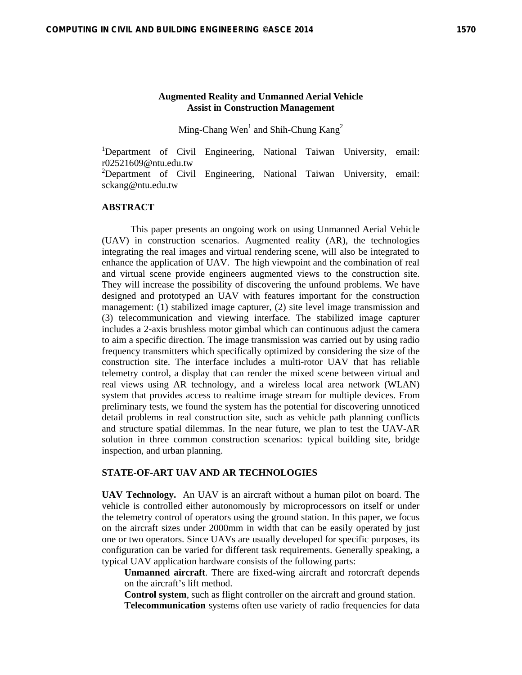### **Augmented Reality and Unmanned Aerial Vehicle Assist in Construction Management**

Ming-Chang  $Wen^1$  and Shih-Chung  $Kang^2$ 

<sup>1</sup>Department of Civil Engineering, National Taiwan University, email: r02521609@ntu.edu.tw <sup>2</sup>Department of Civil Engineering, National Taiwan University, email: sckang@ntu.edu.tw

#### **ABSTRACT**

This paper presents an ongoing work on using Unmanned Aerial Vehicle (UAV) in construction scenarios. Augmented reality (AR), the technologies integrating the real images and virtual rendering scene, will also be integrated to enhance the application of UAV. The high viewpoint and the combination of real and virtual scene provide engineers augmented views to the construction site. They will increase the possibility of discovering the unfound problems. We have designed and prototyped an UAV with features important for the construction management: (1) stabilized image capturer, (2) site level image transmission and (3) telecommunication and viewing interface. The stabilized image capturer includes a 2-axis brushless motor gimbal which can continuous adjust the camera to aim a specific direction. The image transmission was carried out by using radio frequency transmitters which specifically optimized by considering the size of the construction site. The interface includes a multi-rotor UAV that has reliable telemetry control, a display that can render the mixed scene between virtual and real views using AR technology, and a wireless local area network (WLAN) system that provides access to realtime image stream for multiple devices. From preliminary tests, we found the system has the potential for discovering unnoticed detail problems in real construction site, such as vehicle path planning conflicts and structure spatial dilemmas. In the near future, we plan to test the UAV-AR solution in three common construction scenarios: typical building site, bridge inspection, and urban planning.

### **STATE-OF-ART UAV AND AR TECHNOLOGIES**

**UAV Technology.** An UAV is an aircraft without a human pilot on board. The vehicle is controlled either autonomously by microprocessors on itself or under the telemetry control of operators using the ground station. In this paper, we focus on the aircraft sizes under 2000mm in width that can be easily operated by just one or two operators. Since UAVs are usually developed for specific purposes, its configuration can be varied for different task requirements. Generally speaking, a typical UAV application hardware consists of the following parts:

**Unmanned aircraft**. There are fixed-wing aircraft and rotorcraft depends on the aircraft's lift method.

**Control system**, such as flight controller on the aircraft and ground station. **Telecommunication** systems often use variety of radio frequencies for data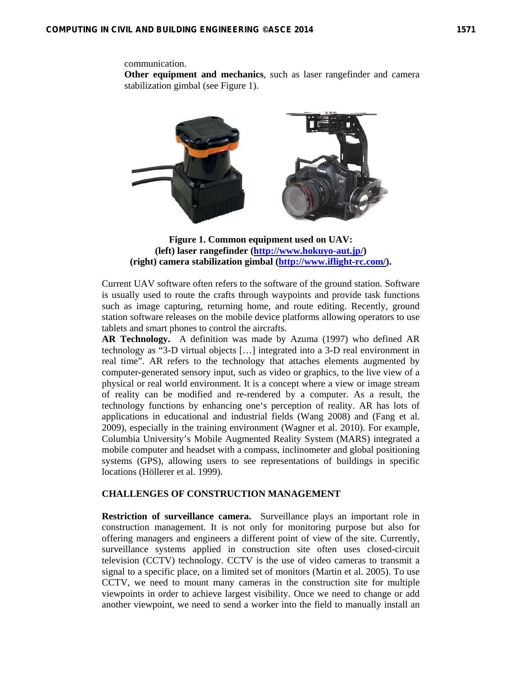**Other equipment and mechanics**, such as laser rangefinder and camera stabilization gimbal (see Figure 1).



**Figure 1. Common equipment used on UAV: (left) laser rangefinder (http://www.hokuyo-aut.jp/) (right) camera stabilization gimbal (http://www.iflight-rc.com/).** 

Current UAV software often refers to the software of the ground station. Software is usually used to route the crafts through waypoints and provide task functions such as image capturing, returning home, and route editing. Recently, ground station software releases on the mobile device platforms allowing operators to use tablets and smart phones to control the aircrafts.

**AR Technology.** A definition was made by Azuma (1997) who defined AR technology as "3-D virtual objects […] integrated into a 3-D real environment in real time". AR refers to the technology that attaches elements augmented by computer-generated sensory input, such as video or graphics, to the live view of a physical or real world environment. It is a concept where a view or image stream of reality can be modified and re-rendered by a computer. As a result, the technology functions by enhancing one's perception of reality. AR has lots of applications in educational and industrial fields (Wang 2008) and (Fang et al. 2009), especially in the training environment (Wagner et al. 2010). For example, Columbia University's Mobile Augmented Reality System (MARS) integrated a mobile computer and headset with a compass, inclinometer and global positioning systems (GPS), allowing users to see representations of buildings in specific locations (Höllerer et al. 1999).

### **CHALLENGES OF CONSTRUCTION MANAGEMENT**

**Restriction of surveillance camera.** Surveillance plays an important role in construction management. It is not only for monitoring purpose but also for offering managers and engineers a different point of view of the site. Currently, surveillance systems applied in construction site often uses closed-circuit television (CCTV) technology. CCTV is the use of video cameras to transmit a signal to a specific place, on a limited set of monitors (Martin et al. 2005). To use CCTV, we need to mount many cameras in the construction site for multiple viewpoints in order to achieve largest visibility. Once we need to change or add another viewpoint, we need to send a worker into the field to manually install an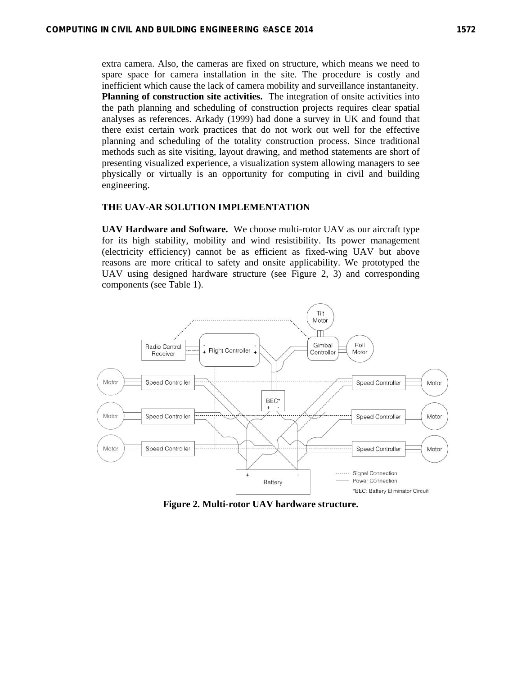extra camera. Also, the cameras are fixed on structure, which means we need to spare space for camera installation in the site. The procedure is costly and inefficient which cause the lack of camera mobility and surveillance instantaneity. **Planning of construction site activities.** The integration of onsite activities into the path planning and scheduling of construction projects requires clear spatial analyses as references. Arkady (1999) had done a survey in UK and found that there exist certain work practices that do not work out well for the effective planning and scheduling of the totality construction process. Since traditional methods such as site visiting, layout drawing, and method statements are short of presenting visualized experience, a visualization system allowing managers to see physically or virtually is an opportunity for computing in civil and building engineering.

### **THE UAV-AR SOLUTION IMPLEMENTATION**

**UAV Hardware and Software.** We choose multi-rotor UAV as our aircraft type for its high stability, mobility and wind resistibility. Its power management (electricity efficiency) cannot be as efficient as fixed-wing UAV but above reasons are more critical to safety and onsite applicability. We prototyped the UAV using designed hardware structure (see Figure 2, 3) and corresponding components (see Table 1).



**Figure 2. Multi-rotor UAV hardware structure.**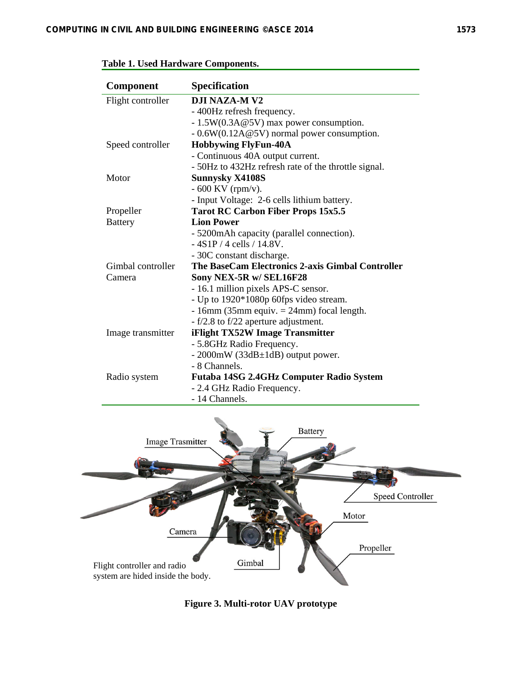| Component         | <b>Specification</b>                                 |
|-------------------|------------------------------------------------------|
| Flight controller | <b>DJI NAZA-MV2</b>                                  |
|                   | - 400Hz refresh frequency.                           |
|                   | $-1.5W(0.3A@5V)$ max power consumption.              |
|                   | $-0.6W(0.12A@5V)$ normal power consumption.          |
| Speed controller  | <b>Hobbywing FlyFun-40A</b>                          |
|                   | - Continuous 40A output current.                     |
|                   | - 50Hz to 432Hz refresh rate of the throttle signal. |
| Motor             | <b>Sunnysky X4108S</b>                               |
|                   | $-600$ KV (rpm/v).                                   |
|                   | - Input Voltage: 2-6 cells lithium battery.          |
| Propeller         | <b>Tarot RC Carbon Fiber Props 15x5.5</b>            |
| <b>Battery</b>    | <b>Lion Power</b>                                    |
|                   | - 5200mAh capacity (parallel connection).            |
|                   | - 4S1P / 4 cells / 14.8V.                            |
|                   | - 30C constant discharge.                            |
| Gimbal controller | The BaseCam Electronics 2-axis Gimbal Controller     |
| Camera            | Sony NEX-5R w/ SEL16F28                              |
|                   | - 16.1 million pixels APS-C sensor.                  |
|                   | - Up to 1920*1080p 60fps video stream.               |
|                   | - 16mm (35mm equiv. $= 24$ mm) focal length.         |
|                   | - f/2.8 to f/22 aperture adjustment.                 |
| Image transmitter | iFlight TX52W Image Transmitter                      |
|                   | - 5.8GHz Radio Frequency.                            |
|                   | $-2000$ mW (33dB $\pm$ 1dB) output power.            |
|                   | - 8 Channels.                                        |
| Radio system      | <b>Futaba 14SG 2.4GHz Computer Radio System</b>      |
|                   | - 2.4 GHz Radio Frequency.                           |
|                   | - 14 Channels.                                       |

# **Table 1. Used Hardware Components.**



**Figure 3. Multi-rotor UAV prototype**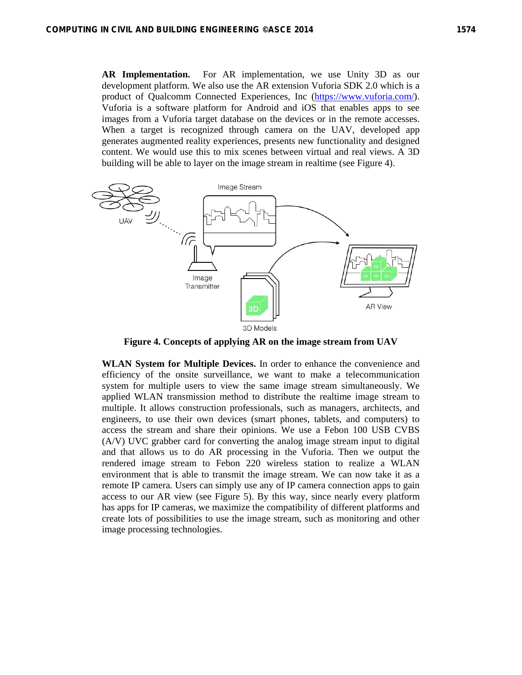**AR Implementation.** For AR implementation, we use Unity 3D as our development platform. We also use the AR extension Vuforia SDK 2.0 which is a product of Qualcomm Connected Experiences, Inc (https://www.vuforia.com/). Vuforia is a software platform for Android and iOS that enables apps to see images from a Vuforia target database on the devices or in the remote accesses. When a target is recognized through camera on the UAV, developed app generates augmented reality experiences, presents new functionality and designed content. We would use this to mix scenes between virtual and real views. A 3D building will be able to layer on the image stream in realtime (see Figure 4).



**Figure 4. Concepts of applying AR on the image stream from UAV** 

**WLAN System for Multiple Devices.** In order to enhance the convenience and efficiency of the onsite surveillance, we want to make a telecommunication system for multiple users to view the same image stream simultaneously. We applied WLAN transmission method to distribute the realtime image stream to multiple. It allows construction professionals, such as managers, architects, and engineers, to use their own devices (smart phones, tablets, and computers) to access the stream and share their opinions. We use a Febon 100 USB CVBS (A/V) UVC grabber card for converting the analog image stream input to digital and that allows us to do AR processing in the Vuforia. Then we output the rendered image stream to Febon 220 wireless station to realize a WLAN environment that is able to transmit the image stream. We can now take it as a remote IP camera. Users can simply use any of IP camera connection apps to gain access to our AR view (see Figure 5). By this way, since nearly every platform has apps for IP cameras, we maximize the compatibility of different platforms and create lots of possibilities to use the image stream, such as monitoring and other image processing technologies.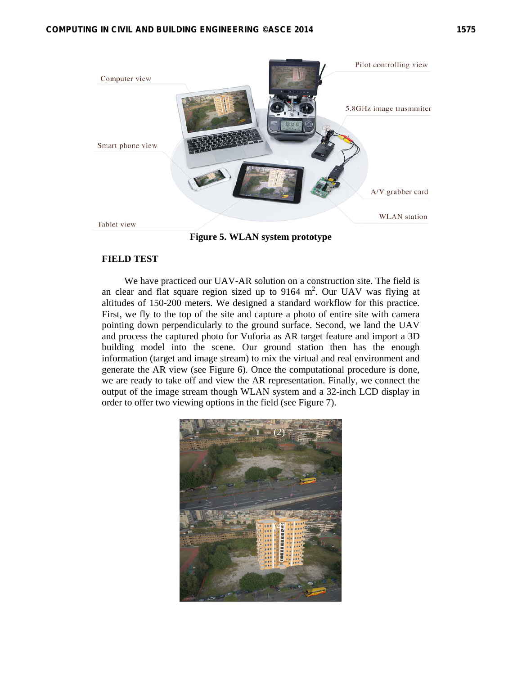

**Figure 5. WLAN system prototype** 

## **FIELD TEST**

 We have practiced our UAV-AR solution on a construction site. The field is an clear and flat square region sized up to 9164  $m^2$ . Our UAV was flying at altitudes of 150-200 meters. We designed a standard workflow for this practice. First, we fly to the top of the site and capture a photo of entire site with camera pointing down perpendicularly to the ground surface. Second, we land the UAV and process the captured photo for Vuforia as AR target feature and import a 3D building model into the scene. Our ground station then has the enough information (target and image stream) to mix the virtual and real environment and generate the AR view (see Figure 6). Once the computational procedure is done, we are ready to take off and view the AR representation. Finally, we connect the output of the image stream though WLAN system and a 32-inch LCD display in order to offer two viewing options in the field (see Figure 7).

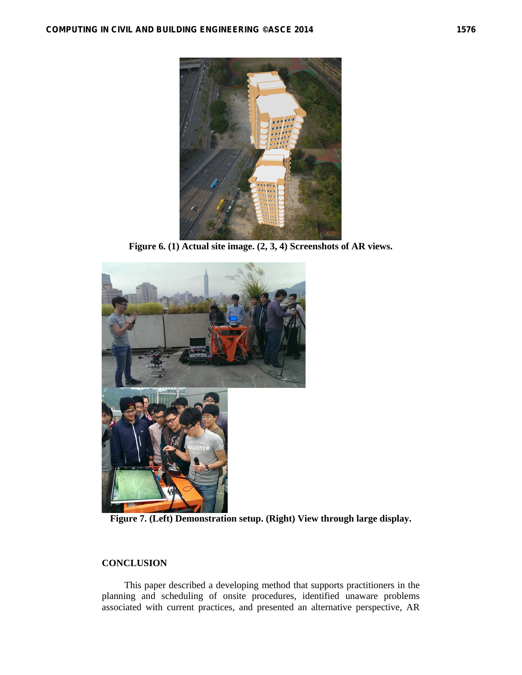

**Figure 6. (1) Actual site image. (2, 3, 4) Screenshots of AR views.** 



**Figure 7. (Left) Demonstration setup. (Right) View through large display.** 

# **CONCLUSION**

 This paper described a developing method that supports practitioners in the planning and scheduling of onsite procedures, identified unaware problems associated with current practices, and presented an alternative perspective, AR